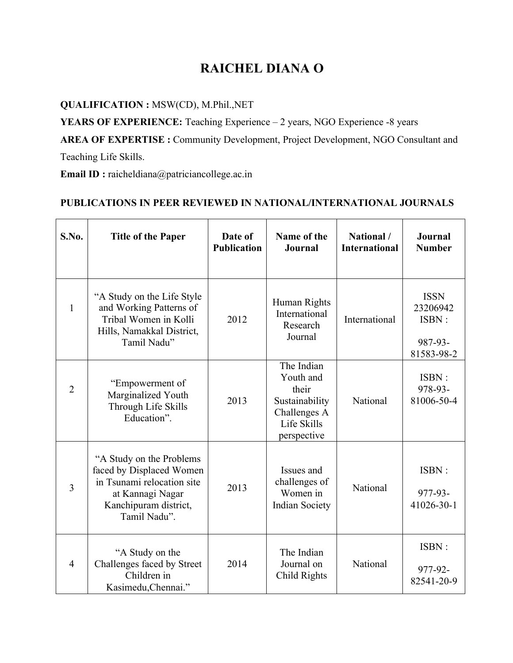## **RAICHEL DIANA O**

## **QUALIFICATION :** MSW(CD), M.Phil.,NET

**YEARS OF EXPERIENCE:** Teaching Experience – 2 years, NGO Experience -8 years

**AREA OF EXPERTISE :** Community Development, Project Development, NGO Consultant and

Teaching Life Skills.

**Email ID :** raicheldiana@patriciancollege.ac.in

## **PUBLICATIONS IN PEER REVIEWED IN NATIONAL/INTERNATIONAL JOURNALS**

| S.No.          | <b>Title of the Paper</b>                                                                                                                        | Date of<br><b>Publication</b> | Name of the<br>Journal                                                                           | National /<br><b>International</b> | Journal<br><b>Number</b>                                  |
|----------------|--------------------------------------------------------------------------------------------------------------------------------------------------|-------------------------------|--------------------------------------------------------------------------------------------------|------------------------------------|-----------------------------------------------------------|
| $\mathbf{1}$   | "A Study on the Life Style"<br>and Working Patterns of<br>Tribal Women in Kolli<br>Hills, Namakkal District,<br>Tamil Nadu"                      | 2012                          | Human Rights<br>International<br>Research<br>Journal                                             | International                      | <b>ISSN</b><br>23206942<br>ISBN:<br>987-93-<br>81583-98-2 |
| $\overline{2}$ | "Empowerment of<br>Marginalized Youth<br>Through Life Skills<br>Education".                                                                      | 2013                          | The Indian<br>Youth and<br>their<br>Sustainability<br>Challenges A<br>Life Skills<br>perspective | National                           | ISBN:<br>978-93-<br>81006-50-4                            |
| 3              | "A Study on the Problems"<br>faced by Displaced Women<br>in Tsunami relocation site<br>at Kannagi Nagar<br>Kanchipuram district,<br>Tamil Nadu". | 2013                          | Issues and<br>challenges of<br>Women in<br><b>Indian Society</b>                                 | National                           | ISBN:<br>977-93-<br>41026-30-1                            |
| $\overline{4}$ | "A Study on the<br>Challenges faced by Street<br>Children in<br>Kasimedu, Chennai."                                                              | 2014                          | The Indian<br>Journal on<br>Child Rights                                                         | National                           | ISBN:<br>977-92-<br>82541-20-9                            |